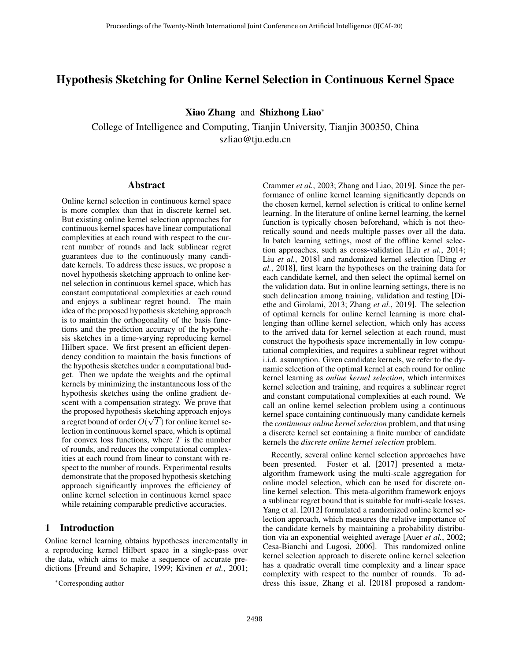# <span id="page-0-0"></span>Hypothesis Sketching for Online Kernel Selection in Continuous Kernel Space

Xiao Zhang and Shizhong Liao<sup>∗</sup>

College of Intelligence and Computing, Tianjin University, Tianjin 300350, China szliao@tju.edu.cn

### Abstract

Online kernel selection in continuous kernel space is more complex than that in discrete kernel set. But existing online kernel selection approaches for continuous kernel spaces have linear computational complexities at each round with respect to the current number of rounds and lack sublinear regret guarantees due to the continuously many candidate kernels. To address these issues, we propose a novel hypothesis sketching approach to online kernel selection in continuous kernel space, which has constant computational complexities at each round and enjoys a sublinear regret bound. The main idea of the proposed hypothesis sketching approach is to maintain the orthogonality of the basis functions and the prediction accuracy of the hypothesis sketches in a time-varying reproducing kernel Hilbert space. We first present an efficient dependency condition to maintain the basis functions of the hypothesis sketches under a computational budget. Then we update the weights and the optimal kernels by minimizing the instantaneous loss of the hypothesis sketches using the online gradient descent with a compensation strategy. We prove that the proposed hypothesis sketching approach enjoys √ a regret bound of order  $O(\sqrt{T})$  for online kernel selection in continuous kernel space, which is optimal for convex loss functions, where  $T$  is the number of rounds, and reduces the computational complexities at each round from linear to constant with respect to the number of rounds. Experimental results demonstrate that the proposed hypothesis sketching approach significantly improves the efficiency of online kernel selection in continuous kernel space while retaining comparable predictive accuracies.

### 1 Introduction

Online kernel learning obtains hypotheses incrementally in a reproducing kernel Hilbert space in a single-pass over the data, which aims to make a sequence of accurate predictions [\[Freund and Schapire, 1999;](#page-6-0) [Kivinen](#page-6-1) *et al.*, 2001; [Crammer](#page-6-2) *et al.*, 2003; [Zhang and Liao, 2019\]](#page-6-3). Since the performance of online kernel learning significantly depends on the chosen kernel, kernel selection is critical to online kernel learning. In the literature of online kernel learning, the kernel function is typically chosen beforehand, which is not theoretically sound and needs multiple passes over all the data. In batch learning settings, most of the offline kernel selection approaches, such as cross-validation [Liu *et al.*[, 2014;](#page-6-4) Liu *et al.*[, 2018\]](#page-6-5) and randomized kernel selection [\[Ding](#page-6-6) *et al.*[, 2018\]](#page-6-6), first learn the hypotheses on the training data for each candidate kernel, and then select the optimal kernel on the validation data. But in online learning settings, there is no such delineation among training, validation and testing [\[Di](#page-6-7)[ethe and Girolami, 2013;](#page-6-7) Zhang *et al.*[, 2019\]](#page-6-8). The selection of optimal kernels for online kernel learning is more challenging than offline kernel selection, which only has access to the arrived data for kernel selection at each round, must construct the hypothesis space incrementally in low computational complexities, and requires a sublinear regret without i.i.d. assumption. Given candidate kernels, we refer to the dynamic selection of the optimal kernel at each round for online kernel learning as *online kernel selection*, which intermixes kernel selection and training, and requires a sublinear regret and constant computational complexities at each round. We call an online kernel selection problem using a continuous kernel space containing continuously many candidate kernels the *continuous online kernel selection* problem, and that using a discrete kernel set containing a finite number of candidate kernels the *discrete online kernel selection* problem.

Recently, several online kernel selection approaches have been presented. Foster et al. [\[2017\]](#page-6-9) presented a metaalgorithm framework using the multi-scale aggregation for online model selection, which can be used for discrete online kernel selection. This meta-algorithm framework enjoys a sublinear regret bound that is suitable for multi-scale losses. Yang et al. [\[2012\]](#page-6-10) formulated a randomized online kernel selection approach, which measures the relative importance of the candidate kernels by maintaining a probability distribution via an exponential weighted average [Auer *et al.*[, 2002;](#page-6-11) [Cesa-Bianchi and Lugosi, 2006\]](#page-6-12). This randomized online kernel selection approach to discrete online kernel selection has a quadratic overall time complexity and a linear space complexity with respect to the number of rounds. To address this issue, Zhang et al. [\[2018\]](#page-6-13) proposed a random-

<sup>∗</sup>Corresponding author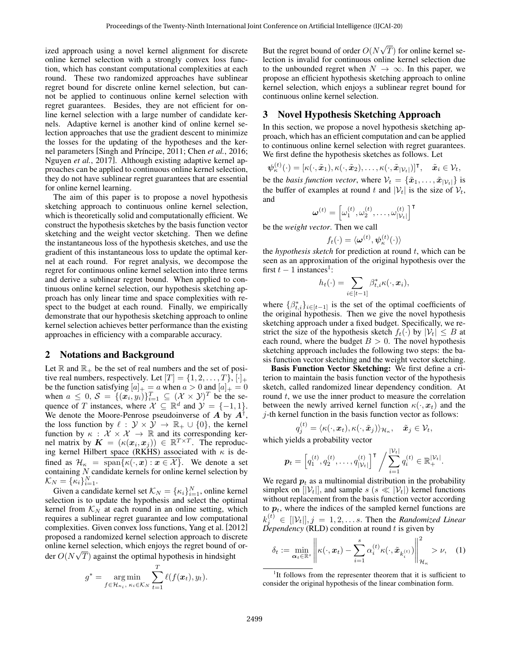ized approach using a novel kernel alignment for discrete online kernel selection with a strongly convex loss function, which has constant computational complexities at each round. These two randomized approaches have sublinear regret bound for discrete online kernel selection, but cannot be applied to continuous online kernel selection with regret guarantees. Besides, they are not efficient for online kernel selection with a large number of candidate kernels. Adaptive kernel is another kind of online kernel selection approaches that use the gradient descent to minimize the losses for the updating of the hypotheses and the kernel parameters [Singh and Príncipe, 2011; Chen *et al.*[, 2016;](#page-6-15) [Nguyen](#page-6-16) *et al.*, 2017]. Although existing adaptive kernel approaches can be applied to continuous online kernel selection, they do not have sublinear regret guarantees that are essential for online kernel learning.

The aim of this paper is to propose a novel hypothesis sketching approach to continuous online kernel selection, which is theoretically solid and computationally efficient. We construct the hypothesis sketches by the basis function vector sketching and the weight vector sketching. Then we define the instantaneous loss of the hypothesis sketches, and use the gradient of this instantaneous loss to update the optimal kernel at each round. For regret analysis, we decompose the regret for continuous online kernel selection into three terms and derive a sublinear regret bound. When applied to continuous online kernel selection, our hypothesis sketching approach has only linear time and space complexities with respect to the budget at each round. Finally, we empirically demonstrate that our hypothesis sketching approach to online kernel selection achieves better performance than the existing approaches in efficiency with a comparable accuracy.

### 2 Notations and Background

Let  $\mathbb R$  and  $\mathbb R_+$  be the set of real numbers and the set of positive real numbers, respectively. Let  $[T] = \{1, 2, \ldots, T\}, [\cdot]_+$ be the function satisfying  $[a]_+ = a$  when  $a > 0$  and  $[a]_+ = 0$ when  $a \leq 0$ ,  $S = \{(\mathbf{x}_i, y_i)\}_{i=1}^T \subseteq (\mathcal{X} \times \mathcal{Y})^T$  be the sequence of T instances, where  $\mathcal{X} \subseteq \mathbb{R}^d$  and  $\mathcal{Y} = \{-1, 1\}.$ We denote the Moore-Penrose pseudoinverse of  $\vec{A}$  by  $\vec{A}^{\dagger}$ , the loss function by  $\ell : \mathcal{Y} \times \mathcal{Y} \to \mathbb{R}_+ \cup \{0\}$ , the kernel function by  $\kappa : \mathcal{X} \times \mathcal{X} \to \mathbb{R}$  and its corresponding kernel matrix by  $\mathbf{K} = (\kappa(\mathbf{x}_i, \mathbf{x}_j)) \in \mathbb{R}^{T \times T}$ . The reproducing kernel Hilbert space (RKHS) associated with  $\kappa$  is defined as  $\mathcal{H}_{\kappa} = \text{span}\{\kappa(\cdot, x) : x \in \mathcal{X}\}\.$  We denote a set containing  $N$  candidate kernels for online kernel selection by  $\mathcal{K}_N = {\kappa_i}_{i=1}^N.$ 

Given a candidate kernel set  $\mathcal{K}_N = {\{\kappa_i\}}_{i=1}^N$ , online kernel selection is to update the hypothesis and select the optimal kernel from  $K_N$  at each round in an online setting, which requires a sublinear regret guarantee and low computational complexities. Given convex loss functions, Yang et al. [\[2012\]](#page-6-10) proposed a randomized kernel selection approach to discrete online kernel selection, which enjoys the regret bound of order  $O(N\sqrt{T})$  against the optimal hypothesis in hindsight

$$
g^* = \underset{f \in \mathcal{H}_{\kappa_i}, \ \kappa_i \in \mathcal{K}_N}{\arg \min} \sum_{t=1}^T \ell(f(\boldsymbol{x}_t), y_t).
$$

But the regret bound of order  $O(N)$ √  $T$ ) for online kernel selection is invalid for continuous online kernel selection due to the unbounded regret when  $N \to \infty$ . In this paper, we propose an efficient hypothesis sketching approach to online kernel selection, which enjoys a sublinear regret bound for continuous online kernel selection.

### 3 Novel Hypothesis Sketching Approach

In this section, we propose a novel hypothesis sketching approach, which has an efficient computation and can be applied to continuous online kernel selection with regret guarantees. We first define the hypothesis sketches as follows. Let

 $\boldsymbol{\psi}_{\kappa}^{(t)}(\cdot)=[\kappa(\cdot,\tilde{\boldsymbol{x}}_1),\kappa(\cdot,\tilde{\boldsymbol{x}}_2),\ldots,\kappa(\cdot,\tilde{\boldsymbol{x}}_{|\mathcal{V}_t|})]^\intercal, \quad \tilde{\boldsymbol{x}}_i\in\mathcal{V}_t,$ 

be the *basis function vector*, where  $V_t = {\{\tilde{x}_1, \ldots, \tilde{x}_{|\mathcal{V}_t|}\}}$  is the buffer of examples at round t and  $|\mathcal{V}_t|$  is the size of  $\mathcal{V}_t$ , and

$$
\pmb{\omega}^{(t)} = \left[\omega_1^{(t)}, \omega_2^{(t)}, \ldots, \omega_{|\mathcal{V}_t|}^{(t)}\right]^\mathsf{T}
$$

be the *weight vector*. Then we call

$$
f_t(\cdot) = \langle \boldsymbol{\omega}^{(t)}, \boldsymbol{\psi}^{(t)}_{\kappa}(\cdot) \rangle
$$

the *hypothesis sketch* for prediction at round t, which can be seen as an approximation of the original hypothesis over the first  $t - 1$  $t - 1$  instances<sup>1</sup>:

$$
h_t(\cdot) = \sum_{i \in [t-1]} \beta_{t,i}^* \kappa(\cdot, \boldsymbol{x}_i),
$$

where  $\{\beta_{t,i}^*\}_{i\in[t-1]}$  is the set of the optimal coefficients of the original hypothesis. Then we give the novel hypothesis sketching approach under a fixed budget. Specifically, we restrict the size of the hypothesis sketch  $f_t(\cdot)$  by  $|\mathcal{V}_t| \leq B$  at each round, where the budget  $B > 0$ . The novel hypothesis sketching approach includes the following two steps: the basis function vector sketching and the weight vector sketching.

Basis Function Vector Sketching: We first define a criterion to maintain the basis function vector of the hypothesis sketch, called randomized linear dependency condition. At round t, we use the inner product to measure the correlation between the newly arrived kernel function  $\kappa(\cdot, x_t)$  and the  $i$ -th kernel function in the basis function vector as follows:

$$
q_j^{(t)} = \langle \kappa(\cdot, \boldsymbol{x}_t), \kappa(\cdot, \tilde{\boldsymbol{x}}_j) \rangle_{\mathcal{H}_\kappa}, \quad \tilde{\boldsymbol{x}}_j \in \mathcal{V}_t,
$$

which yields a probability vector

$$
\boldsymbol{p}_t = \left[q_1^{(t)}, q_2^{(t)}, \dots, q_{|\mathcal{V}_t|}^{(t)}\right]^\mathsf{T} / \sum_{i=1}^{|\mathcal{V}_t|} q_i^{(t)} \in \mathbb{R}_+^{|\mathcal{V}_t|}.
$$

<span id="page-1-0"></span> $\sim$   $\sim$   $\sim$ 

We regard  $p_t$  as a multinomial distribution in the probability simplex on  $[|\mathcal{V}_t|]$ , and sample  $s$  ( $s \ll |\mathcal{V}_t|$ ) kernel functions without replacement from the basis function vector according to  $p_t$ , where the indices of the sampled kernel functions are  $k_j^{(t)} \in [V_t], j = 1, 2, \ldots s$ . Then the *Randomized Linear*  $\tilde{D}$ *ependency* (RLD) condition at round t is given by

$$
\delta_t := \min_{\alpha_t \in \mathbb{R}^s} \left\| \kappa(\cdot, x_t) - \sum_{i=1}^s \alpha_i^{(t)} \kappa(\cdot, \tilde{x}_{k_i^{(t)}}) \right\|_{\mathcal{H}_\kappa}^2 > \nu, \quad (1)
$$

<sup>&</sup>lt;sup>1</sup>It follows from the representer theorem that it is sufficient to consider the original hypothesis of the linear combination form.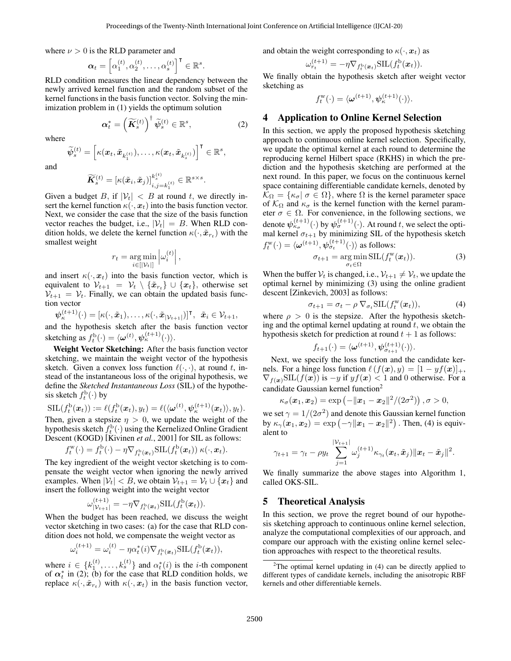where  $\nu > 0$  is the RLD parameter and

$$
\boldsymbol{\alpha}_t = \left[\alpha_1^{(t)}, \alpha_2^{(t)}, \dots, \alpha_s^{(t)}\right]^\mathsf{T} \in \mathbb{R}^s.
$$

RLD condition measures the linear dependency between the newly arrived kernel function and the random subset of the kernel functions in the basis function vector. Solving the minimization problem in [\(1\)](#page-1-0) yields the optimum solution

$$
\boldsymbol{\alpha}_{t}^{*} = \left(\widetilde{\boldsymbol{K}}_{s}^{(t)}\right)^{\dagger} \widetilde{\boldsymbol{\psi}}_{s}^{(t)} \in \mathbb{R}^{s},\tag{2}
$$

where

$$
\widetilde{\psi}^{(t)}_{s} = \left[\kappa(\boldsymbol{x}_t,\tilde{\boldsymbol{x}}_{k_1^{(t)}}),\ldots,\kappa(\boldsymbol{x}_t,\tilde{\boldsymbol{x}}_{k_s^{(t)}})\right]^\intercal \in \mathbb{R}^s,
$$

and

$$
\widetilde{\boldsymbol{K}}_s^{(t)} = \left[\kappa(\tilde{\boldsymbol{x}}_i,\tilde{\boldsymbol{x}}_j)\right]_{i,j=k_1^{(t)}}^{k_s^{(t)}} \in \mathbb{R}^{s \times s}.
$$

Given a budget B, if  $|\mathcal{V}_t| < B$  at round t, we directly insert the kernel function  $\kappa(\cdot, x_t)$  into the basis function vector. Next, we consider the case that the size of the basis function vector reaches the budget, i.e.,  $|\mathcal{V}_t| = B$ . When RLD condition holds, we delete the kernel function  $\kappa(\cdot, \tilde{x}_{r_t})$  with the smallest weight

$$
r_t = \underset{i \in [|\mathcal{V}_t|]}{\arg \min} \left| \omega_i^{(t)} \right|,
$$

and insert  $\kappa(\cdot, x_t)$  into the basis function vector, which is equivalent to  $\mathcal{V}_{t+1} = \mathcal{V}_t \setminus \{\tilde{\boldsymbol{x}}_{r_t}\} \cup \{\boldsymbol{x}_t\}$ , otherwise set  $V_{t+1} = V_t$ . Finally, we can obtain the updated basis function vector

 $\boldsymbol{\psi}_\kappa^{(t+1)}(\cdot) = [\kappa(\cdot,\tilde{\boldsymbol{x}}_1),\ldots,\kappa(\cdot,\tilde{\boldsymbol{x}}_{|\mathcal{V}_{t+1}|})]^\intercal, \ \ \tilde{\boldsymbol{x}}_i \in \mathcal{V}_{t+1},$ 

and the hypothesis sketch after the basis function vector sketching as  $f_t^{\mathrm{b}}(\cdot) = \langle \boldsymbol{\omega}^{(t)}, \boldsymbol{\psi}_\kappa^{(t+1)}(\cdot) \rangle$ .

Weight Vector Sketching: After the basis function vector sketching, we maintain the weight vector of the hypothesis sketch. Given a convex loss function  $\ell(\cdot, \cdot)$ , at round t, instead of the instantaneous loss of the original hypothesis, we define the *Sketched Instantaneous Loss* (SIL) of the hypothesis sketch  $f_t^{\mathrm{b}}(\cdot)$  by

$$
\mathrm{SIL}(f_t^{\mathrm{b}}(\boldsymbol{x}_t)) := \ell(f_t^{\mathrm{b}}(\boldsymbol{x}_t), y_t) = \ell(\langle \boldsymbol{\omega}^{(t)}, \boldsymbol{\psi}_{\kappa}^{(t+1)}(\boldsymbol{x}_t) \rangle, y_t).
$$

Then, given a stepsize  $\eta > 0$ , we update the weight of the hypothesis sketch  $f_t^{\mathrm{b}}(\cdot)$  using the Kernelized Online Gradient Descent (KOGD) [\[Kivinen](#page-6-1) *et al.*, 2001] for SIL as follows:

$$
f_t^{\mathbf{w}}(\cdot) = f_t^{\mathbf{b}}(\cdot) - \eta \nabla_{f_t^{\mathbf{b}}(\boldsymbol{x}_t)} \operatorname{SIL}(f_t^{\mathbf{b}}(\boldsymbol{x}_t)) \kappa(\cdot, \boldsymbol{x}_t).
$$

The key ingredient of the weight vector sketching is to compensate the weight vector when ignoring the newly arrived examples. When  $|\mathcal{V}_t| < B$ , we obtain  $\mathcal{V}_{t+1} = \mathcal{V}_t \cup \{x_t\}$  and insert the following weight into the weight vector

$$
\omega_{|\mathcal{V}_{t+1}|}^{(t+1)} = -\eta \nabla_{f_t^{\mathrm{b}}(\boldsymbol{x}_t)} \mathrm{SIL}(f_t^{\mathrm{b}}(\boldsymbol{x}_t)).
$$

When the budget has been reached, we discuss the weight vector sketching in two cases: (a) for the case that RLD condition does not hold, we compensate the weight vector as

$$
\omega_i^{(t+1)} = \omega_i^{(t)} - \eta \alpha_t^*(i) \nabla_{f_t^{\mathrm{b}}(\boldsymbol{x}_t)} \mathrm{SIL}(f_t^{\mathrm{b}}(\boldsymbol{x}_t)),
$$

where  $i \in \{k_1^{(t)}, \ldots, k_s^{(t)}\}$  and  $\alpha_t^*(i)$  is the *i*-th component of  $\alpha_t^*$  in [\(2\)](#page-2-0); (b) for the case that RLD condition holds, we replace  $\kappa(\cdot, \tilde{\pmb{x}}_{r_t})$  with  $\kappa(\cdot, \pmb{x}_t)$  in the basis function vector, and obtain the weight corresponding to  $\kappa(\cdot, x_t)$  as

$$
\omega_{r_t}^{(t+1)} = -\eta \nabla_{f_t^{\mathrm{b}}(\boldsymbol{x}_t)} \mathrm{SIL}(f_t^{\mathrm{b}}(\boldsymbol{x}_t)).
$$

We finally obtain the hypothesis sketch after weight vector sketching as

$$
f_t^{\mathbf{w}}(\cdot) = \langle \boldsymbol{\omega}^{(t+1)}, \boldsymbol{\psi}_{\kappa}^{(t+1)}(\cdot) \rangle.
$$

### <span id="page-2-0"></span>4 Application to Online Kernel Selection

In this section, we apply the proposed hypothesis sketching approach to continuous online kernel selection. Specifically, we update the optimal kernel at each round to determine the reproducing kernel Hilbert space (RKHS) in which the prediction and the hypothesis sketching are performed at the next round. In this paper, we focus on the continuous kernel space containing differentiable candidate kernels, denoted by  $\mathcal{K}_{\Omega} = {\kappa_{\sigma} | \sigma \in \Omega},$  where  $\Omega$  is the kernel parameter space of  $\mathcal{K}_{\Omega}$  and  $\kappa_{\sigma}$  is the kernel function with the kernel parameter  $\sigma \in \Omega$ . For convenience, in the following sections, we denote  $\psi_{\kappa_\sigma}^{(t+1)}(\cdot)$  by  $\psi_{\sigma}^{(t+1)}(\cdot)$ . At round  $t,$  we select the optimal kernel  $\sigma_{t+1}$  by minimizing SIL of the hypothesis sketch  $f_t^{\mathbf{w}}(\cdot) = \langle \boldsymbol{\omega}^{(t+1)}, \boldsymbol{\psi}_{\sigma_t}^{(t+1)}(\cdot) \rangle$  as follows:

<span id="page-2-1"></span>
$$
\sigma_{t+1} = \underset{\sigma_t \in \Omega}{\arg \min} \, \text{SIL}(f_t^{\text{w}}(\boldsymbol{x}_t)). \tag{3}
$$

When the buffer  $V_t$  is changed, i.e.,  $V_{t+1} \neq V_t$ , we update the optimal kernel by minimizing [\(3\)](#page-2-1) using the online gradient descent [\[Zinkevich, 2003\]](#page-6-17) as follows:

<span id="page-2-2"></span>
$$
\sigma_{t+1} = \sigma_t - \rho \nabla_{\sigma_t} \text{SIL}(f_t^{\text{w}}(\boldsymbol{x}_t)), \tag{4}
$$

where  $\rho > 0$  is the stepsize. After the hypothesis sketching and the optimal kernel updating at round  $t$ , we obtain the hypothesis sketch for prediction at round  $t + 1$  as follows:

$$
f_{t+1}(\cdot) = \langle \boldsymbol{\omega}^{(t+1)}, \boldsymbol{\psi}^{(t+1)}_{\sigma_{t+1}}(\cdot) \rangle.
$$

Next, we specify the loss function and the candidate kernels. For a hinge loss function  $\ell(f(\boldsymbol{x}), y) = [1 - yf(\boldsymbol{x})]_+,$  $\nabla_{f(\boldsymbol{x})}$ SIL $(f(\boldsymbol{x}))$  is  $-y$  if  $yf(\boldsymbol{x}) < 1$  and 0 otherwise. For a candidate Gaussian kernel function<sup>[2](#page-0-0)</sup>

$$
\kappa_{\sigma}(\boldsymbol{x}_1,\boldsymbol{x}_2)=\exp\left(-\|\boldsymbol{x}_1-\boldsymbol{x}_2\|^2/(2\sigma^2)\right),\sigma>0,
$$

we set  $\gamma = 1/(2\sigma^2)$  and denote this Gaussian kernel function by  $\kappa_{\gamma}(\boldsymbol{x}_1, \boldsymbol{x}_2) = \exp(-\gamma \|\boldsymbol{x}_1 - \boldsymbol{x}_2\|^2)$  . Then, [\(4\)](#page-2-2) is equivalent to

$$
\gamma_{t+1} = \gamma_t - \rho y_t \sum_{j=1}^{|\mathcal{V}_{t+1}|} \omega_j^{(t+1)} \kappa_{\gamma_t}(\boldsymbol{x}_t, \tilde{\boldsymbol{x}}_j) \|\boldsymbol{x}_t - \tilde{\boldsymbol{x}}_j\|^2.
$$

We finally summarize the above stages into Algorithm [1,](#page-0-0) called OKS-SIL.

## 5 Theoretical Analysis

In this section, we prove the regret bound of our hypothesis sketching approach to continuous online kernel selection, analyze the computational complexities of our approach, and compare our approach with the existing online kernel selection approaches with respect to the theoretical results.

<sup>&</sup>lt;sup>2</sup>The optimal kernel updating in  $(4)$  can be directly applied to different types of candidate kernels, including the anisotropic RBF kernels and other differentiable kernels.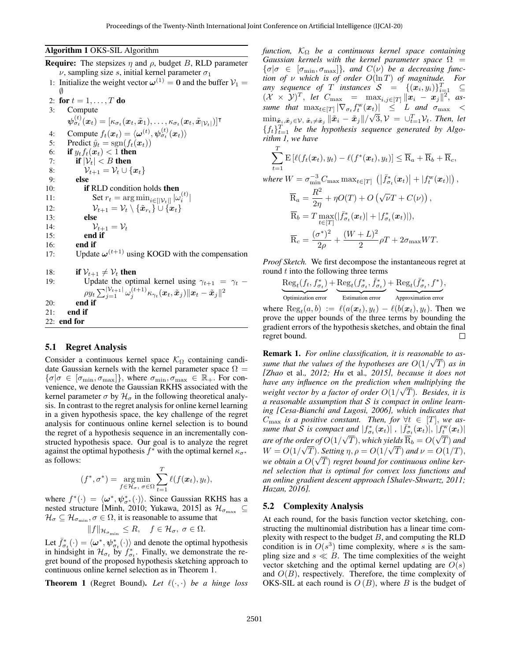#### Algorithm 1 OKS-SIL Algorithm

**Require:** The stepsizes  $\eta$  and  $\rho$ , budget B, RLD parameter  $\nu$ , sampling size s, initial kernel parameter  $\sigma_1$ 1: Initialize the weight vector  $\omega^{(1)} = 0$  and the buffer  $V_1 =$ 

```
∅
  2: for t = 1, ..., T do
 3: Compute
            \boldsymbol{\psi}^{(t)}_{\sigma_t}(\boldsymbol{x}_t) = [\kappa_{\sigma_t}(\boldsymbol{x}_t, \tilde{\boldsymbol{x}}_1), \dots, \kappa_{\sigma_t}(\boldsymbol{x}_t, \tilde{\boldsymbol{x}}_{|\mathcal{V}_t|})]^\intercal4: Compute f_t(\boldsymbol{x}_t) = \langle \boldsymbol{\omega}^{(t)}, \boldsymbol{\psi}_{\sigma_t}^{(t)}(\boldsymbol{x}_t) \rangle5: Predict \hat{y}_t = \text{sgn}(f_t(\boldsymbol{x}_t))6: if y_t f_t(x_t) < 1 then<br>7: if |\mathcal{V}_t| < B then
                if |\mathcal{V}_t| < B then
  8: V_{t+1} = V_t \cup \{x_t\}9: else
10: if RLD condition holds then
11: Set r_t = \arg \min_{i \in [|\mathcal{V}_t|]} |\omega_i^{(t)}|12: \mathcal{V}_{t+1} = \mathcal{V}_t \setminus {\{\tilde{\boldsymbol{x}}_{r_t}\}} \cup {\{\boldsymbol{x}_t\}}13: else
14: \mathcal{V}_{t+1} = \mathcal{V}_t15: end if
16: end if
17: Update \omega^{(t+1)} using KOGD with the compensation
18: if \mathcal{V}_{t+1} \neq \mathcal{V}_t then
19: Update the optimal kernel using \gamma_{t+1} = \gamma_t –
                     \rho y_t \sum_{j=1}^{\lvert \mathcal{V}_{t+1} \rvert} \omega_j^{(t+1)} \kappa_{\gamma_t}(\bm{x}_t, \tilde{\bm{x}}_j) \|\bm{x}_t - \tilde{\bm{x}}_j\|^220: end if
21: end if
22: end for
```
### 5.1 Regret Analysis

Consider a continuous kernel space  $\mathcal{K}_{\Omega}$  containing candidate Gaussian kernels with the kernel parameter space  $\Omega =$  $\{\sigma|\sigma \in [\sigma_{\min}, \sigma_{\max}]\},$  where  $\sigma_{\min}, \sigma_{\max} \in \mathbb{R}_+$ . For convenience, we denote the Gaussian RKHS associated with the kernel parameter  $\sigma$  by  $\mathcal{H}_{\sigma}$  in the following theoretical analysis. In contrast to the regret analysis for online kernel learning in a given hypothesis space, the key challenge of the regret analysis for continuous online kernel selection is to bound the regret of a hypothesis sequence in an incrementally constructed hypothesis space. Our goal is to analyze the regret against the optimal hypothesis  $f^*$  with the optimal kernel  $\kappa_{\sigma^*}$ as follows:

$$
(f^*, \sigma^*) = \underset{f \in \mathcal{H}_{\sigma}, \ \sigma \in \Omega}{\arg \min} \sum_{t=1}^T \ell(f(\boldsymbol{x}_t), y_t),
$$

where  $f^*(\cdot) = \langle \omega^*, \psi_{\sigma^*}^*(\cdot) \rangle$ . Since Gaussian RKHS has a nested structure [\[Minh, 2010;](#page-6-18) [Yukawa, 2015\]](#page-6-19) as  $\mathcal{H}_{\sigma_{\text{max}}}$   $\subseteq$  $\mathcal{H}_{\sigma} \subseteq \mathcal{H}_{\sigma_{\min}}, \sigma \in \Omega$ , it is reasonable to assume that

$$
||f||_{\mathcal{H}_{\sigma_{\min}}} \leq R, \quad f \in \mathcal{H}_{\sigma}, \ \sigma \in \Omega.
$$

Let  $\bar{f}_{\sigma_t}^*(\cdot) = \langle \omega^*, \psi_{\sigma_t}^*(\cdot) \rangle$  and denote the optimal hypothesis in hindsight in  $\mathcal{H}_{\sigma_t}$  by  $f_{\sigma_t}^*$ . Finally, we demonstrate the regret bound of the proposed hypothesis sketching approach to continuous online kernel selection as in Theorem [1.](#page-3-0)

<span id="page-3-0"></span>**Theorem 1** (Regret Bound). Let  $\ell(\cdot, \cdot)$  be a hinge loss

*function,* K<sup>Ω</sup> *be a continuous kernel space containing Gaussian kernels with the kernel parameter space*  $\Omega$  =  $\{\sigma | \sigma \in [\sigma_{\min}, \sigma_{\max}]\}$ , and  $C(\nu)$  be a decreasing func*tion of* ν *which is of order* O(ln T) *of magnitude. For any sequence of* T *instances*  $S = \{(\boldsymbol{x}_i, y_i)\}_{i=1}^T \subseteq$  $(\mathcal{X} \times \mathcal{Y})^T$ , *let*  $C_{\text{max}} = \max_{i,j \in [T]} ||\boldsymbol{x}_i - \boldsymbol{x}_j||^2$ , *assume that*  $\max_{t \in [T]} |\nabla_{\sigma_t} f_t^w(x_t)| \leq L$  *and*  $\sigma_{\max} <$  $\min_{\tilde{\bm{x}}_i,\tilde{\bm{x}}_j\in\mathcal{V},\ \tilde{\bm{x}}_i\neq\tilde{\bm{x}}_j} \|\tilde{\bm{x}}_i-\tilde{\bm{x}}_j\|/\sqrt{3},\mathcal{V}\ =\ \cup_{t=1}^T\mathcal{V}_t.$  Then, let  ${f_t}_{t=1}^T$  *be the hypothesis sequence generated by Algorithm [1,](#page-0-0) we have*

$$
\sum_{t=1}^{T} \mathbf{E} \left[ \ell(f_t(\boldsymbol{x}_t), y_t) - \ell(f^*(\boldsymbol{x}_t), y_t) \right] \leq \overline{\mathbf{R}}_a + \overline{\mathbf{R}}_b + \overline{\mathbf{R}}_c,
$$
\nwhere  $W = \sigma_{\min}^{-3} C_{\max} \max_{t \in [T]} \left( \left| \overline{f}_{\sigma_t}^*(\boldsymbol{x}_t) \right| + \left| f_t^*(\boldsymbol{x}_t) \right| \right),$   
\n
$$
\overline{\mathbf{R}}_a = \frac{R^2}{2\eta} + \eta O(T) + O\left(\sqrt{\nu}T + C(\nu)\right),
$$
\n
$$
\overline{\mathbf{R}}_b = T \max_{t \in [T]} (\left| \overline{f}_{\sigma_t}^*(\boldsymbol{x}_t) \right| + \left| f_{\sigma_t}^*(\boldsymbol{x}_t) \right|),
$$
\n
$$
\overline{\mathbf{R}}_c = \frac{(\sigma^*)^2}{2\rho} + \frac{(W + L)^2}{2}\rho T + 2\sigma_{\max} WT.
$$

*Proof Sketch.* We first decompose the instantaneous regret at round  $t$  into the following three terms

$$
\underbrace{\text{Reg}_{t}(f_t, f^*_{\sigma_t})}_{\text{Optimization error}} + \underbrace{\text{Reg}_{t}(f^*_{\sigma_t}, \bar{f}^*_{\sigma_t})}_{\text{Estimation error}} + \underbrace{\text{Reg}_{t}(\bar{f}^*_{\sigma_t}, f^*)}_{\text{Approximation error}},
$$

where  $\text{Reg}_t(a, b) := \ell(a(\boldsymbol{x}_t), y_t) - \ell(b(\boldsymbol{x}_t), y_t)$ . Then we prove the upper bounds of the three terms by bounding the gradient errors of the hypothesis sketches, and obtain the final regret bound.  $\Box$ 

Remark 1. *For online classification, it is reasonable to as-*√ *sume that the values of the hypotheses are*  $O(1/\sqrt{T})$  *as in [Zhao* et al.*[, 2012;](#page-6-20) Hu* et al.*[, 2015\]](#page-6-21), because it does not have any influence on the prediction when multiplying the weight vector by a factor of order* O(1/ T)*. Besides, it is a reasonable assumption that* S *is compact in online learning [\[Cesa-Bianchi and Lugosi, 2006\]](#page-6-12), which indicates that*  $C_{\text{max}}$  *is a positive constant. Then, for*  $\forall t \in [T]$ *, we assume that*  $\hat{S}$  *is compact and*  $|f^*_{\sigma_t}(x_t)|$ ,  $|\bar{f}^*_{\sigma_t}(x_t)|$ ,  $|f^w_t(x_t)|$ *are of the order of*  $O(1/\sqrt{T})$ , *which yields*  $\overline{R}_b = O(\sqrt{T})$  *and*  $W = O(1/\sqrt{T})$ . *Setting*  $\eta$ ,  $\rho = O(1/\sqrt{T})$  and  $\nu = O(1/T)$ , we obtain a  $O(\sqrt{T})$  regret bound for continuous online ker*nel selection that is optimal for convex loss functions and an online gradient descent approach [\[Shalev-Shwartz, 2011;](#page-6-22) [Hazan, 2016\]](#page-6-23).*

### 5.2 Complexity Analysis

At each round, for the basis function vector sketching, constructing the multinomial distribution has a linear time complexity with respect to the budget  $B$ , and computing the RLD condition is in  $O(s^3)$  time complexity, where s is the sampling size and  $s \ll B$ . The time complexities of the weight vector sketching and the optimal kernel updating are  $O(s)$ and  $O(B)$ , respectively. Therefore, the time complexity of OKS-SIL at each round is  $O(B)$ , where B is the budget of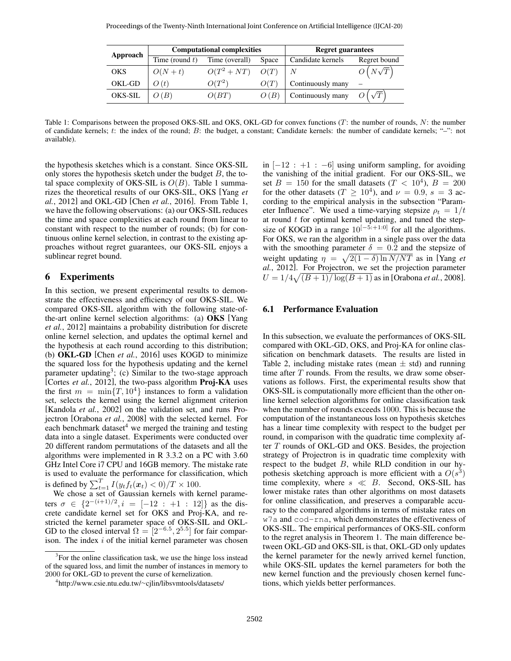<span id="page-4-0"></span>

| Approach   |                   | <b>Computational complexities</b> | <b>Regret guarantees</b> |                   |                |
|------------|-------------------|-----------------------------------|--------------------------|-------------------|----------------|
|            | Time (round $t$ ) | Time (overall)                    | Space                    | Candidate kernels | Regret bound   |
| <b>OKS</b> | $O(N+t)$          | $O(T^2 + NT)$ $O(T)$              |                          |                   | $O(N\sqrt{T})$ |
| OKL-GD     | O(t)              | $O(T^2)$                          | O(T)                     | Continuously many |                |
| OKS-SIL    | O(B)              | O(BT)                             | O(B)                     | Continuously many |                |

Table 1: Comparisons between the proposed OKS-SIL and OKS, OKL-GD for convex functions (T: the number of rounds, N: the number of candidate kernels; t: the index of the round; B: the budget, a constant; Candidate kernels: the number of candidate kernels; "–": not available).

the hypothesis sketches which is a constant. Since OKS-SIL only stores the hypothesis sketch under the budget  $B$ , the total space complexity of OKS-SIL is  $O(B)$ . Table [1](#page-4-0) summarizes the theoretical results of our OKS-SIL, OKS [\[Yang](#page-6-10) *et al.*[, 2012\]](#page-6-10) and OKL-GD [Chen *et al.*[, 2016\]](#page-6-15). From Table [1,](#page-4-0) we have the following observations: (a) our OKS-SIL reduces the time and space complexities at each round from linear to constant with respect to the number of rounds; (b) for continuous online kernel selection, in contrast to the existing approaches without regret guarantees, our OKS-SIL enjoys a sublinear regret bound.

### 6 Experiments

In this section, we present experimental results to demonstrate the effectiveness and efficiency of our OKS-SIL. We compared OKS-SIL algorithm with the following state-ofthe-art online kernel selection algorithms: (a) OKS [\[Yang](#page-6-10) *et al.*[, 2012\]](#page-6-10) maintains a probability distribution for discrete online kernel selection, and updates the optimal kernel and the hypothesis at each round according to this distribution; (b) OKL-GD [Chen *et al.*[, 2016\]](#page-6-15) uses KOGD to minimize the squared loss for the hypothesis updating and the kernel parameter updating<sup>[3](#page-0-0)</sup>; (c) Similar to the two-stage approach [Cortes *et al.*[, 2012\]](#page-6-24), the two-pass algorithm Proj-KA uses the first  $m = \min\{T, 10^4\}$  instances to form a validation set, selects the kernel using the kernel alignment criterion [\[Kandola](#page-6-25) *et al.*, 2002] on the validation set, and runs Projectron [\[Orabona](#page-6-26) *et al.*, 2008] with the selected kernel. For each benchmark dataset $4$  we merged the training and testing data into a single dataset. Experiments were conducted over 20 different random permutations of the datasets and all the algorithms were implemented in R 3.3.2 on a PC with 3.60 GHz Intel Core i7 CPU and 16GB memory. The mistake rate is used to evaluate the performance for classification, which is defined by  $\sum_{t=1}^{T} I(y_t f_t(\boldsymbol{x}_t) < 0)/T \times 100$ .

We chose a set of Gaussian kernels with kernel parameters  $\sigma \in \{2^{-(i+1)/2}, i = [-12 : +1 : 12]\}$  as the discrete candidate kernel set for OKS and Proj-KA, and restricted the kernel parameter space of OKS-SIL and OKL-GD to the closed interval  $\Omega = \left[2^{-6.5}, 2^{5.5}\right]$  for fair comparison. The index  $i$  of the initial kernel parameter was chosen

in  $[-12 : +1 : -6]$  using uniform sampling, for avoiding the vanishing of the initial gradient. For our OKS-SIL, we set  $B = 150$  for the small datasets  $(T < 10<sup>4</sup>)$ ,  $B = 200$ for the other datasets ( $T \ge 10^4$ ), and  $\nu = 0.9$ ,  $s = 3$  according to the empirical analysis in the subsection "Parameter Influence". We used a time-varying stepsize  $\rho_t = 1/t$ at round  $t$  for optimal kernel updating, and tuned the stepsize of KOGD in a range  $10^{[-5, +1.0]}$  for all the algorithms. For OKS, we ran the algorithm in a single pass over the data with the smoothing parameter  $\delta = 0.2$  and the stepsize of weight updating  $\eta = \sqrt{2(1 - \delta) \ln N/NT}$  as in [\[Yang](#page-6-10) *et al.*[, 2012\]](#page-6-10). For Projectron, we set the projection parameter  $U = 1/4\sqrt{(B+1)/\log(B+1)}$  as in [\[Orabona](#page-6-26) *et al.*, 2008].

### 6.1 Performance Evaluation

In this subsection, we evaluate the performances of OKS-SIL compared with OKL-GD, OKS, and Proj-KA for online classification on benchmark datasets. The results are listed in Table [2,](#page-5-0) including mistake rates (mean  $\pm$  std) and running time after  $T$  rounds. From the results, we draw some observations as follows. First, the experimental results show that OKS-SIL is computationally more efficient than the other online kernel selection algorithms for online classification task when the number of rounds exceeds 1000. This is because the computation of the instantaneous loss on hypothesis sketches has a linear time complexity with respect to the budget per round, in comparison with the quadratic time complexity after T rounds of OKL-GD and OKS. Besides, the projection strategy of Projectron is in quadratic time complexity with respect to the budget  $B$ , while RLD condition in our hypothesis sketching approach is more efficient with a  $O(s^3)$ time complexity, where  $s \ll B$ . Second, OKS-SIL has lower mistake rates than other algorithms on most datasets for online classification, and preserves a comparable accuracy to the compared algorithms in terms of mistake rates on w7a and cod-rna, which demonstrates the effectiveness of OKS-SIL. The empirical performances of OKS-SIL conform to the regret analysis in Theorem [1.](#page-3-0) The main difference between OKL-GD and OKS-SIL is that, OKL-GD only updates the kernel parameter for the newly arrived kernel function, while OKS-SIL updates the kernel parameters for both the new kernel function and the previously chosen kernel functions, which yields better performances.

<sup>&</sup>lt;sup>3</sup>For the online classification task, we use the hinge loss instead of the squared loss, and limit the number of instances in memory to 2000 for OKL-GD to prevent the curse of kernelization.

<sup>4</sup> [http://www.csie.ntu.edu.tw/](http://www.csie.ntu.edu.tw/~cjlin/libsvmtools/datasets/)∼cjlin/libsvmtools/datasets/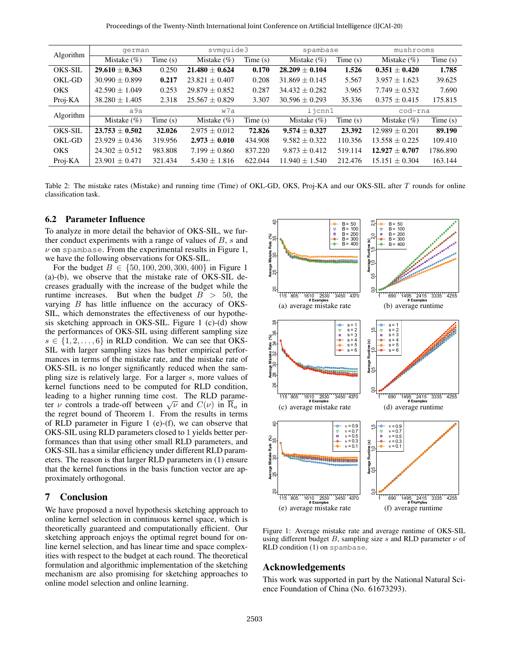<span id="page-5-0"></span>

| Algorithm      | german             |         | svmquide3         |            | spambase           |            | mushrooms          |            |
|----------------|--------------------|---------|-------------------|------------|--------------------|------------|--------------------|------------|
|                | Mistake $(\%)$     | Time(s) | Mistake $(\% )$   | Time(s)    | Mistake $(\%)$     | Time(s)    | Mistake $(\% )$    | Time(s)    |
| <b>OKS-SIL</b> | $29.610 \pm 0.363$ | 0.250   | $21.480 + 0.624$  | 0.170      | $28.209 + 0.104$   | 1.526      | $0.351 + 0.420$    | 1.785      |
| OKL-GD         | $30.990 + 0.899$   | 0.217   | $23.821 + 0.407$  | 0.208      | $31.869 \pm 0.145$ | 5.567      | $3.957 \pm 1.623$  | 39.625     |
| <b>OKS</b>     | $42.590 \pm 1.049$ | 0.253   | $29.879 + 0.852$  | 0.287      | $34.432 + 0.282$   | 3.965      | $7.749 \pm 0.532$  | 7.690      |
| Proj-KA        | $38.280 \pm 1.405$ | 2.318   | $25.567 + 0.829$  | 3.307      | $30.596 \pm 0.293$ | 35.336     | $0.375 + 0.415$    | 175.815    |
| Algorithm      | a9a                |         | w7a               |            | ijcnn1             |            | cod-rna            |            |
|                | Mistake $(\%)$     | Time(s) | Mistake $(\% )$   | Time $(s)$ | Mistake $(\%)$     | Time $(s)$ | Mistake $(\%)$     | Time $(s)$ |
| <b>OKS-SIL</b> | $23.753 + 0.502$   | 32.026  | $2.975 + 0.012$   | 72.826     | $9.574 + 0.327$    | 23.392     | $12.989 \pm 0.201$ | 89.190     |
| OKL-GD         | $23.929 + 0.436$   | 319.956 | $2.973 + 0.010$   | 434.908    | $9.582 + 0.322$    | 110.356    | $13.558 \pm 0.225$ | 109.410    |
| <b>OKS</b>     | $24.302 + 0.512$   | 983.808 | $7.199 \pm 0.860$ | 837.220    | $9.873 + 0.412$    | 519.114    | $12.927 + 0.707$   | 1786.890   |
| Proj-KA        | $23.901 + 0.471$   | 321.434 | $5.430 + 1.816$   | 622.044    | $11.940 \pm 1.540$ | 212.476    | $15.151 \pm 0.304$ | 163.144    |

Table 2: The mistake rates (Mistake) and running time (Time) of OKL-GD, OKS, Proj-KA and our OKS-SIL after T rounds for online classification task.

#### 6.2 Parameter Influence

To analyze in more detail the behavior of OKS-SIL, we further conduct experiments with a range of values of  $B$ ,  $s$  and  $\nu$  on spambase. From the experimental results in Figure [1,](#page-5-1) we have the following observations for OKS-SIL.

For the budget  $B \in \{50, 100, 200, 300, 400\}$  $B \in \{50, 100, 200, 300, 400\}$  $B \in \{50, 100, 200, 300, 400\}$  in Figure 1 (a)-(b), we observe that the mistake rate of OKS-SIL decreases gradually with the increase of the budget while the runtime increases. But when the budget  $B > 50$ , the varying B has little influence on the accuracy of OKS-SIL, which demonstrates the effectiveness of our hypothesis sketching approach in OKS-SIL. Figure [1](#page-5-1) (c)-(d) show the performances of OKS-SIL using different sampling size  $s \in \{1, 2, \ldots, 6\}$  in RLD condition. We can see that OKS-SIL with larger sampling sizes has better empirical performances in terms of the mistake rate, and the mistake rate of OKS-SIL is no longer significantly reduced when the sampling size is relatively large. For a larger s, more values of kernel functions need to be computed for RLD condition, leading to a higher running time cost. The RLD parameteading to a higher running time cost. The KLD parameter  $\nu$  controls a trade-off between  $\sqrt{\nu}$  and  $C(\nu)$  in  $\overline{R}_a$  in the regret bound of Theorem [1.](#page-3-0) From the results in terms of RLD parameter in Figure [1](#page-5-1) (e)-(f), we can observe that OKS-SIL using RLD parameters closed to 1 yields better performances than that using other small RLD parameters, and OKS-SIL has a similar efficiency under different RLD parameters. The reason is that larger RLD parameters in [\(1\)](#page-1-0) ensure that the kernel functions in the basis function vector are approximately orthogonal. **Solution**<br>
Che analyze in more detail the behavior of OKS-SIL, we fur-<br>the model captering with a range of values of  $B$ , s and<br>
the recondition and only the interesting of values of  $B$ , and<br>
ve have the following obser

### 7 Conclusion

We have proposed a novel hypothesis sketching approach to online kernel selection in continuous kernel space, which is theoretically guaranteed and computationally efficient. Our sketching approach enjoys the optimal regret bound for online kernel selection, and has linear time and space complexities with respect to the budget at each round. The theoretical formulation and algorithmic implementation of the sketching mechanism are also promising for sketching approaches to

<span id="page-5-1"></span>

Figure 1: Average mistake rate and average runtime of OKS-SIL using different budget B, sampling size s and RLD parameter  $\nu$  of RLD condition [\(1\)](#page-1-0) on spambase.

### Acknowledgements

This work was supported in part by the National Natural Science Foundation of China (No. 61673293).